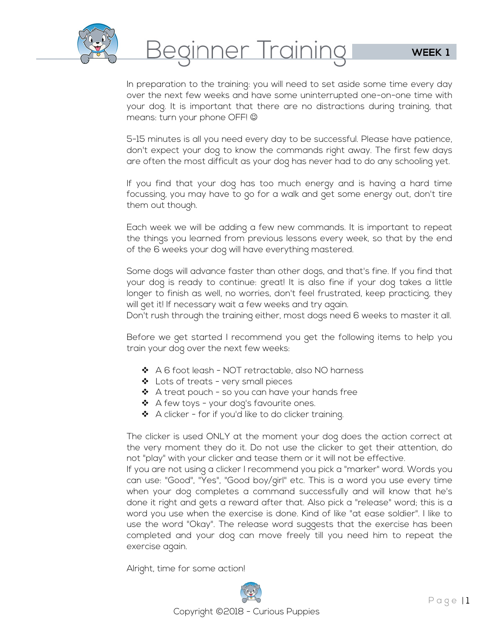

Beginner Training

In preparation to the training: you will need to set aside some time every day over the next few weeks and have some uninterrupted one-on-one time with your dog. It is important that there are no distractions during training, that means: turn your phone OFF!

5-15 minutes is all you need every day to be successful. Please have patience, don't expect your dog to know the commands right away. The first few days are often the most difficult as your dog has never had to do any schooling yet.

If you find that your dog has too much energy and is having a hard time focussing, you may have to go for a walk and get some energy out, don't tire them out though.

Each week we will be adding a few new commands. It is important to repeat the things you learned from previous lessons every week, so that by the end of the 6 weeks your dog will have everything mastered.

Some dogs will advance faster than other dogs, and that's fine. If you find that your dog is ready to continue: great! It is also fine if your dog takes a little longer to finish as well, no worries, don't feel frustrated, keep practicing, they will get it! If necessary wait a few weeks and try again.

Don't rush through the training either, most dogs need 6 weeks to master it all.

Before we get started I recommend you get the following items to help you train your dog over the next few weeks:

- $\triangleleft$  A 6 foot leash NOT retractable, also NO harness
- ❖ Lots of treats very small pieces
- $\clubsuit$  A treat pouch so you can have your hands free
- $\triangleleft$  A few toys your dog's favourite ones.
- $\bullet$  A clicker for if you'd like to do clicker training.

The clicker is used ONLY at the moment your dog does the action correct at the very moment they do it. Do not use the clicker to get their attention, do not "play" with your clicker and tease them or it will not be effective.

If you are not using a clicker I recommend you pick a "marker" word. Words you can use: "Good", "Yes", "Good boy/girl" etc. This is a word you use every time when your dog completes a command successfully and will know that he's done it right and gets a reward after that. Also pick a "release" word; this is a word you use when the exercise is done. Kind of like "at ease soldier". I like to use the word "Okay". The release word suggests that the exercise has been completed and your dog can move freely till you need him to repeat the exercise again.

Alright, time for some action!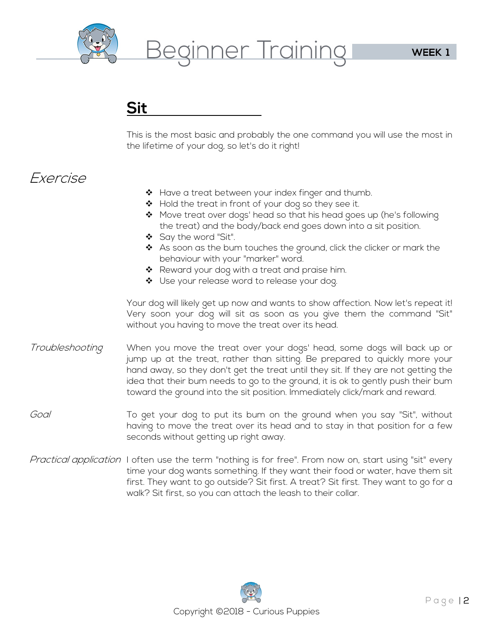

Beginner Training

## **Sit**

This is the most basic and probably the one command you will use the most in the lifetime of your dog, so let's do it right!

## Exercise

- $\clubsuit$  Have a treat between your index finger and thumb.
- ◆ Hold the treat in front of your dog so they see it.
- ❖ Move treat over dogs' head so that his head goes up (he's following the treat) and the body/back end goes down into a sit position.
- ❖ Say the word "Sit".
- $\clubsuit$  As soon as the bum touches the ground, click the clicker or mark the behaviour with your "marker" word.
- ❖ Reward your dog with a treat and praise him.
- ❖ Use your release word to release your dog.

Your dog will likely get up now and wants to show affection. Now let's repeat it! Very soon your dog will sit as soon as you give them the command "Sit" without you having to move the treat over its head.

- Troubleshooting in When you move the treat over your dogs' head, some dogs will back up or jump up at the treat, rather than sitting. Be prepared to quickly more your hand away, so they don't get the treat until they sit. If they are not getting the idea that their bum needs to go to the ground, it is ok to gently push their bum toward the ground into the sit position. Immediately click/mark and reward.
- Goal To get your dog to put its bum on the ground when you say "Sit", without having to move the treat over its head and to stay in that position for a few seconds without getting up right away.
- Practical application I often use the term "nothing is for free". From now on, start using "sit" every time your dog wants something. If they want their food or water, have them sit first. They want to go outside? Sit first. A treat? Sit first. They want to go for a walk? Sit first, so you can attach the leash to their collar.